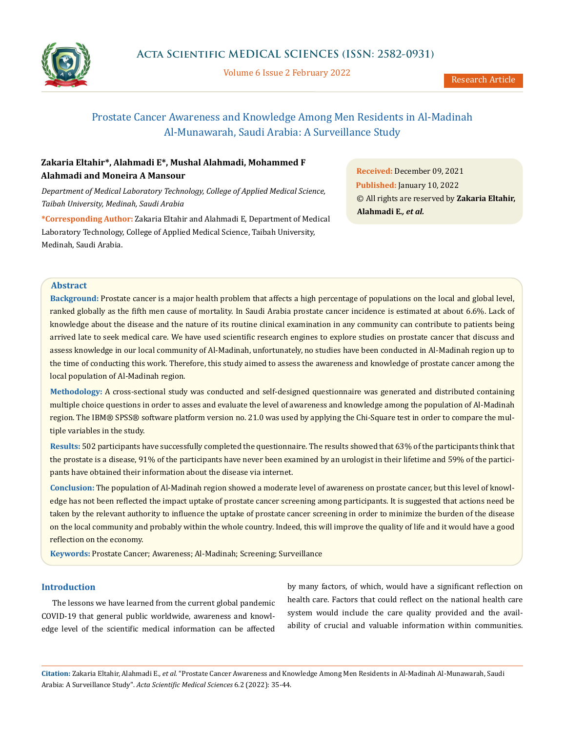

Volume 6 Issue 2 February 2022

# Prostate Cancer Awareness and Knowledge Among Men Residents in Al-Madinah Al-Munawarah, Saudi Arabia: A Surveillance Study

# **Zakaria Eltahir\*, Alahmadi E\*, Mushal Alahmadi, Mohammed F Alahmadi and Moneira A Mansour**

*Department of Medical Laboratory Technology, College of Applied Medical Science, Taibah University, Medinah, Saudi Arabia*

**\*Corresponding Author:** Zakaria Eltahir and Alahmadi E, Department of Medical Laboratory Technology, College of Applied Medical Science, Taibah University, Medinah, Saudi Arabia.

**Received:** December 09, 2021 **Published:** January 10, 2022 © All rights are reserved by **Zakaria Eltahir, Alahmadi E***., et al.*

## **Abstract**

**Background:** Prostate cancer is a major health problem that affects a high percentage of populations on the local and global level, ranked globally as the fifth men cause of mortality. In Saudi Arabia prostate cancer incidence is estimated at about 6.6%. Lack of knowledge about the disease and the nature of its routine clinical examination in any community can contribute to patients being arrived late to seek medical care. We have used scientific research engines to explore studies on prostate cancer that discuss and assess knowledge in our local community of Al-Madinah, unfortunately, no studies have been conducted in Al-Madinah region up to the time of conducting this work. Therefore, this study aimed to assess the awareness and knowledge of prostate cancer among the local population of Al-Madinah region.

**Methodology:** A cross-sectional study was conducted and self-designed questionnaire was generated and distributed containing multiple choice questions in order to asses and evaluate the level of awareness and knowledge among the population of Al-Madinah region. The IBM® SPSS® software platform version no. 21.0 was used by applying the Chi-Square test in order to compare the multiple variables in the study.

**Results:** 502 participants have successfully completed the questionnaire. The results showed that 63% of the participants think that the prostate is a disease, 91% of the participants have never been examined by an urologist in their lifetime and 59% of the participants have obtained their information about the disease via internet.

**Conclusion:** The population of Al-Madinah region showed a moderate level of awareness on prostate cancer, but this level of knowledge has not been reflected the impact uptake of prostate cancer screening among participants. It is suggested that actions need be taken by the relevant authority to influence the uptake of prostate cancer screening in order to minimize the burden of the disease on the local community and probably within the whole country. Indeed, this will improve the quality of life and it would have a good reflection on the economy.

**Keywords:** Prostate Cancer; Awareness; Al-Madinah; Screening; Surveillance

## **Introduction**

The lessons we have learned from the current global pandemic COVID-19 that general public worldwide, awareness and knowledge level of the scientific medical information can be affected by many factors, of which, would have a significant reflection on health care. Factors that could reflect on the national health care system would include the care quality provided and the availability of crucial and valuable information within communities.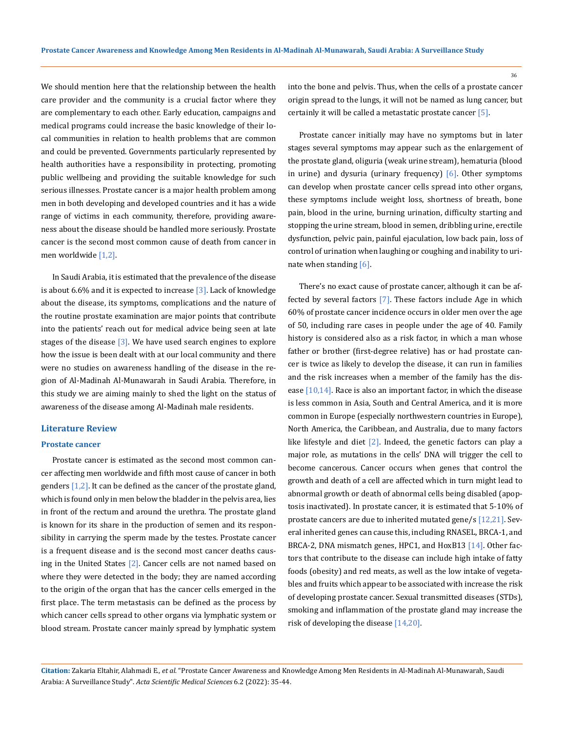We should mention here that the relationship between the health care provider and the community is a crucial factor where they are complementary to each other. Early education, campaigns and medical programs could increase the basic knowledge of their local communities in relation to health problems that are common and could be prevented. Governments particularly represented by health authorities have a responsibility in protecting, promoting public wellbeing and providing the suitable knowledge for such serious illnesses. Prostate cancer is a major health problem among men in both developing and developed countries and it has a wide range of victims in each community, therefore, providing awareness about the disease should be handled more seriously. Prostate cancer is the second most common cause of death from cancer in men worldwide [1,2].

In Saudi Arabia, it is estimated that the prevalence of the disease is about 6.6% and it is expected to increase  $[3]$ . Lack of knowledge about the disease, its symptoms, complications and the nature of the routine prostate examination are major points that contribute into the patients' reach out for medical advice being seen at late stages of the disease  $\lceil 3 \rceil$ . We have used search engines to explore how the issue is been dealt with at our local community and there were no studies on awareness handling of the disease in the region of Al-Madinah Al-Munawarah in Saudi Arabia. Therefore, in this study we are aiming mainly to shed the light on the status of awareness of the disease among Al-Madinah male residents.

#### **Literature Review**

#### **Prostate cancer**

Prostate cancer is estimated as the second most common cancer affecting men worldwide and fifth most cause of cancer in both genders  $[1,2]$ . It can be defined as the cancer of the prostate gland, which is found only in men below the bladder in the pelvis area, lies in front of the rectum and around the urethra. The prostate gland is known for its share in the production of semen and its responsibility in carrying the sperm made by the testes. Prostate cancer is a frequent disease and is the second most cancer deaths causing in the United States [2]. Cancer cells are not named based on where they were detected in the body; they are named according to the origin of the organ that has the cancer cells emerged in the first place. The term metastasis can be defined as the process by which cancer cells spread to other organs via lymphatic system or blood stream. Prostate cancer mainly spread by lymphatic system into the bone and pelvis. Thus, when the cells of a prostate cancer origin spread to the lungs, it will not be named as lung cancer, but certainly it will be called a metastatic prostate cancer [5].

Prostate cancer initially may have no symptoms but in later stages several symptoms may appear such as the enlargement of the prostate gland, oliguria (weak urine stream), hematuria (blood in urine) and dysuria (urinary frequency) [6]. Other symptoms can develop when prostate cancer cells spread into other organs, these symptoms include weight loss, shortness of breath, bone pain, blood in the urine, burning urination, difficulty starting and stopping the urine stream, blood in semen, dribbling urine, erectile dysfunction, pelvic pain, painful ejaculation, low back pain, loss of control of urination when laughing or coughing and inability to urinate when standing [6].

There's no exact cause of prostate cancer, although it can be affected by several factors [7]. These factors include Age in which 60% of prostate cancer incidence occurs in older men over the age of 50, including rare cases in people under the age of 40. Family history is considered also as a risk factor, in which a man whose father or brother (first-degree relative) has or had prostate cancer is twice as likely to develop the disease, it can run in families and the risk increases when a member of the family has the disease  $[10,14]$ . Race is also an important factor, in which the disease is less common in Asia, South and Central America, and it is more common in Europe (especially northwestern countries in Europe), North America, the Caribbean, and Australia, due to many factors like lifestyle and diet  $[2]$ . Indeed, the genetic factors can play a major role, as mutations in the cells' DNA will trigger the cell to become cancerous. Cancer occurs when genes that control the growth and death of a cell are affected which in turn might lead to abnormal growth or death of abnormal cells being disabled (apoptosis inactivated). In prostate cancer, it is estimated that 5-10% of prostate cancers are due to inherited mutated gene/s [12,21]. Several inherited genes can cause this, including RNASEL, BRCA-1, and BRCA-2, DNA mismatch genes, HPC1, and HoxB13 [14]. Other factors that contribute to the disease can include high intake of fatty foods (obesity) and red meats, as well as the low intake of vegetables and fruits which appear to be associated with increase the risk of developing prostate cancer. Sexual transmitted diseases (STDs), smoking and inflammation of the prostate gland may increase the risk of developing the disease [14,20].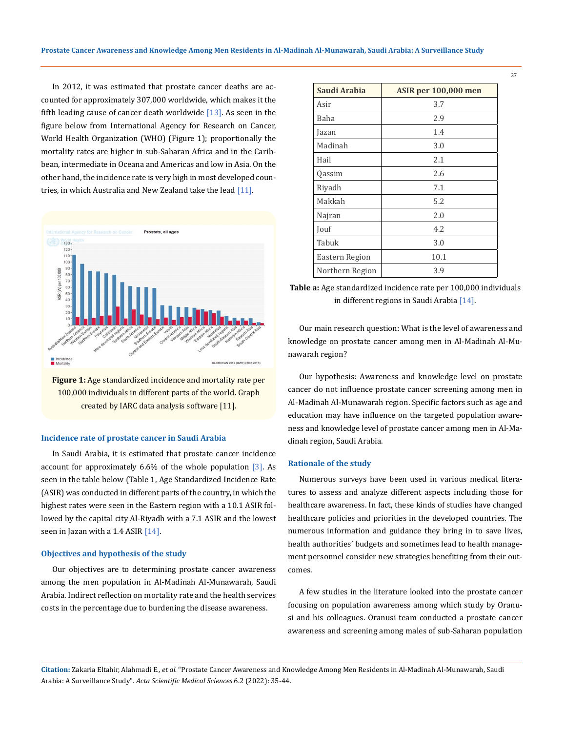In 2012, it was estimated that prostate cancer deaths are accounted for approximately 307,000 worldwide, which makes it the fifth leading cause of cancer death worldwide  $[13]$ . As seen in the figure below from International Agency for Research on Cancer, World Health Organization (WHO) (Figure 1); proportionally the mortality rates are higher in sub-Saharan Africa and in the Caribbean, intermediate in Oceana and Americas and low in Asia. On the other hand, the incidence rate is very high in most developed countries, in which Australia and New Zealand take the lead [11].



**Figure 1:** Age standardized incidence and mortality rate per 100,000 individuals in different parts of the world. Graph created by IARC data analysis software [11].

#### **Incidence rate of prostate cancer in Saudi Arabia**

In Saudi Arabia, it is estimated that prostate cancer incidence account for approximately 6.6% of the whole population  $\lceil 3 \rceil$ . As seen in the table below (Table 1, Age Standardized Incidence Rate (ASIR) was conducted in different parts of the country, in which the highest rates were seen in the Eastern region with a 10.1 ASIR followed by the capital city Al-Riyadh with a 7.1 ASIR and the lowest seen in Jazan with a 1.4 ASIR [14].

### **Objectives and hypothesis of the study**

Our objectives are to determining prostate cancer awareness among the men population in Al-Madinah Al-Munawarah, Saudi Arabia. Indirect reflection on mortality rate and the health services costs in the percentage due to burdening the disease awareness.

| Saudi Arabia    | <b>ASIR</b> per 100,000 men |
|-----------------|-----------------------------|
| Asir            | 3.7                         |
| Baha            | 2.9                         |
| Jazan           | 1.4                         |
| Madinah         | 3.0                         |
| Hail            | 2.1                         |
| Qassim          | 2.6                         |
| Riyadh          | 7.1                         |
| Makkah          | 5.2                         |
| Najran          | 2.0                         |
| Jouf            | 4.2                         |
| Tabuk           | 3.0                         |
| Eastern Region  | 10.1                        |
| Northern Region | 3.9                         |

**Table a:** Age standardized incidence rate per 100,000 individuals in different regions in Saudi Arabia [14].

Our main research question: What is the level of awareness and knowledge on prostate cancer among men in Al-Madinah Al-Munawarah region?

Our hypothesis: Awareness and knowledge level on prostate cancer do not influence prostate cancer screening among men in Al-Madinah Al-Munawarah region. Specific factors such as age and education may have influence on the targeted population awareness and knowledge level of prostate cancer among men in Al-Madinah region, Saudi Arabia.

#### **Rationale of the study**

Numerous surveys have been used in various medical literatures to assess and analyze different aspects including those for healthcare awareness. In fact, these kinds of studies have changed healthcare policies and priorities in the developed countries. The numerous information and guidance they bring in to save lives, health authorities' budgets and sometimes lead to health management personnel consider new strategies benefiting from their outcomes.

A few studies in the literature looked into the prostate cancer focusing on population awareness among which study by Oranusi and his colleagues. Oranusi team conducted a prostate cancer awareness and screening among males of sub-Saharan population

**Citation:** Zakaria Eltahir, Alahmadi E*., et al.* "Prostate Cancer Awareness and Knowledge Among Men Residents in Al-Madinah Al-Munawarah, Saudi Arabia: A Surveillance Study". *Acta Scientific Medical Sciences* 6.2 (2022): 35-44.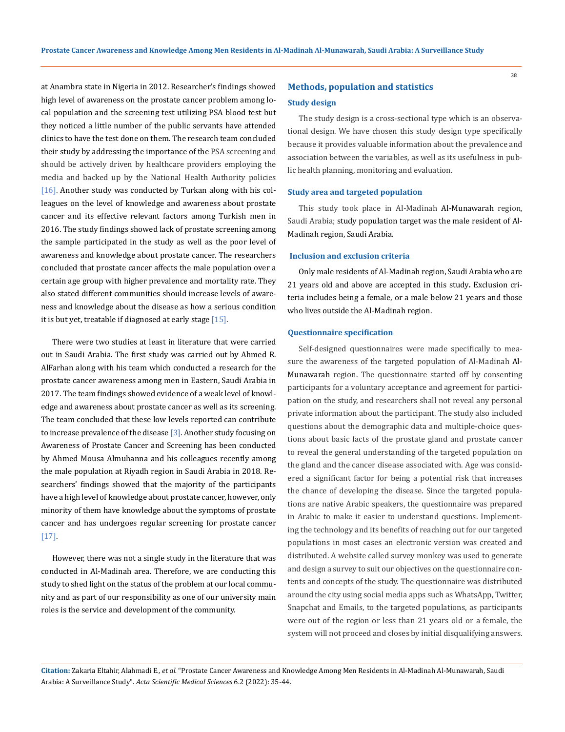at Anambra state in Nigeria in 2012. Researcher's findings showed high level of awareness on the prostate cancer problem among local population and the screening test utilizing PSA blood test but they noticed a little number of the public servants have attended clinics to have the test done on them. The research team concluded their study by addressing the importance of the PSA screening and should be actively driven by healthcare providers employing the media and backed up by the National Health Authority policies [16]. Another study was conducted by Turkan along with his colleagues on the level of knowledge and awareness about prostate cancer and its effective relevant factors among Turkish men in 2016. The study findings showed lack of prostate screening among the sample participated in the study as well as the poor level of awareness and knowledge about prostate cancer. The researchers concluded that prostate cancer affects the male population over a certain age group with higher prevalence and mortality rate. They also stated different communities should increase levels of awareness and knowledge about the disease as how a serious condition it is but yet, treatable if diagnosed at early stage [15].

There were two studies at least in literature that were carried out in Saudi Arabia. The first study was carried out by Ahmed R. AlFarhan along with his team which conducted a research for the prostate cancer awareness among men in Eastern, Saudi Arabia in 2017. The team findings showed evidence of a weak level of knowledge and awareness about prostate cancer as well as its screening. The team concluded that these low levels reported can contribute to increase prevalence of the disease [3]. Another study focusing on Awareness of Prostate Cancer and Screening has been conducted by Ahmed Mousa Almuhanna and his colleagues recently among the male population at Riyadh region in Saudi Arabia in 2018. Researchers' findings showed that the majority of the participants have a high level of knowledge about prostate cancer, however, only minority of them have knowledge about the symptoms of prostate cancer and has undergoes regular screening for prostate cancer [17].

However, there was not a single study in the literature that was conducted in Al-Madinah area. Therefore, we are conducting this study to shed light on the status of the problem at our local community and as part of our responsibility as one of our university main roles is the service and development of the community.

# **Methods, population and statistics Study design**

The study design is a cross-sectional type which is an observational design. We have chosen this study design type specifically because it provides valuable information about the prevalence and association between the variables, as well as its usefulness in public health planning, monitoring and evaluation.

#### **Study area and targeted population**

This study took place in Al-Madinah Al-Munawarah region, Saudi Arabia; study population target was the male resident of Al-Madinah region, Saudi Arabia.

#### **Inclusion and exclusion criteria**

Only male residents of Al-Madinah region, Saudi Arabia who are 21 years old and above are accepted in this study*.* Exclusion criteria includes being a female, or a male below 21 years and those who lives outside the Al-Madinah region.

#### **Questionnaire specification**

Self-designed questionnaires were made specifically to measure the awareness of the targeted population of Al-Madinah Al-Munawarah region. The questionnaire started off by consenting participants for a voluntary acceptance and agreement for participation on the study, and researchers shall not reveal any personal private information about the participant. The study also included questions about the demographic data and multiple-choice questions about basic facts of the prostate gland and prostate cancer to reveal the general understanding of the targeted population on the gland and the cancer disease associated with. Age was considered a significant factor for being a potential risk that increases the chance of developing the disease. Since the targeted populations are native Arabic speakers, the questionnaire was prepared in Arabic to make it easier to understand questions. Implementing the technology and its benefits of reaching out for our targeted populations in most cases an electronic version was created and distributed. A website called survey monkey was used to generate and design a survey to suit our objectives on the questionnaire contents and concepts of the study. The questionnaire was distributed around the city using social media apps such as WhatsApp, Twitter, Snapchat and Emails, to the targeted populations, as participants were out of the region or less than 21 years old or a female, the system will not proceed and closes by initial disqualifying answers.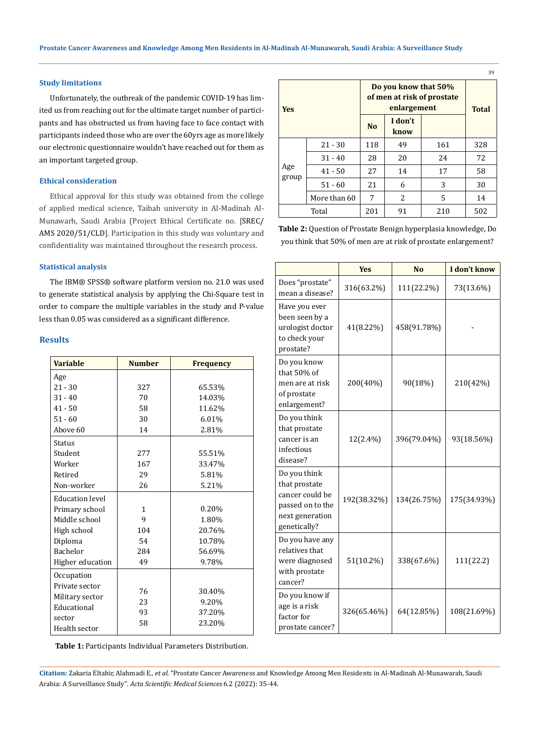### **Study limitations**

Unfortunately, the outbreak of the pandemic COVID-19 has limited us from reaching out for the ultimate target number of participants and has obstructed us from having face to face contact with participants indeed those who are over the 60yrs age as more likely our electronic questionnaire wouldn't have reached out for them as an important targeted group.

# **Ethical consideration**

Ethical approval for this study was obtained from the college of applied medical science, Taibah university in Al-Madinah Al-Munawarh, Saudi Arabia (Project Ethical Certificate no. [SREC/ AMS 2020/51/CLD]. Participation in this study was voluntary and confidentiality was maintained throughout the research process.

#### **Statistical analysis**

The IBM® SPSS® software platform version no. 21.0 was used to generate statistical analysis by applying the Chi-Square test in order to compare the multiple variables in the study and P-value less than 0.05 was considered as a significant difference.

## **Results**

| <b>Variable</b>        | <b>Number</b> | <b>Frequency</b> |
|------------------------|---------------|------------------|
| Age                    |               |                  |
| $21 - 30$              | 327           | 65.53%           |
| $31 - 40$              | 70            | 14.03%           |
| $41 - 50$              | 58            | 11.62%           |
| $51 - 60$              | 30            | 6.01%            |
| Above 60               | 14            | 2.81%            |
| <b>Status</b>          |               |                  |
| Student                | 277           | 55.51%           |
| Worker                 | 167           | 33.47%           |
| Retired                | 29            | 5.81%            |
| Non-worker             | 26            | 5.21%            |
| <b>Education level</b> |               |                  |
| Primary school         | 1             | 0.20%            |
| Middle school          | 9             | 1.80%            |
| High school            | 104           | 20.76%           |
| Diploma                | 54            | 10.78%           |
| Bachelor               | 284           | 56.69%           |
| Higher education       | 49            | 9.78%            |
| Occupation             |               |                  |
| Private sector         | 76            | 30.40%           |
| Military sector        | 23            | 9.20%            |
| Educational            |               |                  |
| sector                 | 93            | 37.20%           |
| Health sector          | 58            | 23.20%           |

**Yes Do you know that 50% of men at risk of prostate enlargement** Total **No I don't know** Age group 21 - 30 118 49 161 328  $31 - 40$  | 28 | 20 | 24 | 72 41 - 50 | 27 | 14 | 17 | 58  $51 - 60$  21 6 3 30 More than  $60$  | 7 | 2 | 5 | 14 Total 201 91 210 502

**Table 2:** Question of Prostate Benign hyperplasia knowledge, Do you think that 50% of men are at risk of prostate enlargement?

|                                                                                                         | <b>Yes</b>  | N <sub>0</sub> | I don't know |
|---------------------------------------------------------------------------------------------------------|-------------|----------------|--------------|
| Does "prostate"<br>mean a disease?                                                                      | 316(63.2%)  | 111(22.2%)     | 73(13.6%)    |
| Have you ever<br>been seen by a<br>urologist doctor<br>to check your<br>prostate?                       | 41(8.22%)   | 458(91.78%)    |              |
| Do you know<br>that 50% of<br>men are at risk<br>of prostate<br>enlargement?                            | 200(40%)    | 90(18%)        | 210(42%)     |
| Do you think<br>that prostate<br>cancer is an<br>infectious<br>disease?                                 | 12(2.4%)    | 396(79.04%)    | 93(18.56%)   |
| Do you think<br>that prostate<br>cancer could be<br>passed on to the<br>next generation<br>genetically? | 192(38.32%) | 134(26.75%)    | 175(34.93%)  |
| Do you have any<br>relatives that<br>were diagnosed<br>with prostate<br>cancer?                         | 51(10.2%)   | 338(67.6%)     | 111(22.2)    |
| Do you know if<br>age is a risk<br>factor for<br>prostate cancer?                                       | 326(65.46%) | 64(12.85%)     | 108(21.69%)  |

**Table 1:** Participants Individual Parameters Distribution.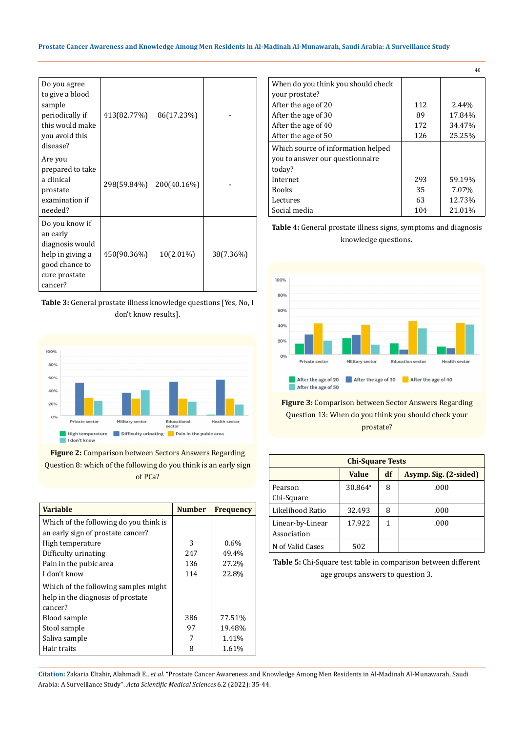| Do you agree<br>to give a blood<br>sample<br>periodically if<br>this would make<br>you avoid this<br>disease?   | 413(82.77%) | 86(17.23%)  |           |
|-----------------------------------------------------------------------------------------------------------------|-------------|-------------|-----------|
| Are you<br>prepared to take<br>a clinical<br>prostate<br>examination if<br>needed?                              | 298(59.84%) | 200(40.16%) |           |
| Do you know if<br>an early<br>diagnosis would<br>help in giving a<br>good chance to<br>cure prostate<br>cancer? | 450(90.36%) | 10(2.01%)   | 38(7.36%) |

**Table 3:** General prostate illness knowledge questions [Yes, No, I don't know results].



**Figure 2:** Comparison between Sectors Answers Regarding Question 8: which of the following do you think is an early sign of PCa?

| <b>Variable</b>                        | <b>Number</b> | <b>Frequency</b> |
|----------------------------------------|---------------|------------------|
| Which of the following do you think is |               |                  |
| an early sign of prostate cancer?      |               |                  |
| High temperature                       | 3             | 0.6%             |
| Difficulty urinating                   | 247           | 49.4%            |
| Pain in the pubic area                 | 136           | 27.2%            |
| I don't know                           | 114           | 22.8%            |
| Which of the following samples might   |               |                  |
| help in the diagnosis of prostate      |               |                  |
| cancer?                                |               |                  |
| Blood sample                           | 386           | 77.51%           |
| Stool sample                           | 97            | 19.48%           |
| Saliva sample                          |               | 1.41%            |
| Hair traits                            | 8             | 1.61%            |

|                                    |     | 40     |
|------------------------------------|-----|--------|
| When do you think you should check |     |        |
| your prostate?                     |     |        |
| After the age of 20                | 112 | 2.44%  |
| After the age of 30                | 89  | 17.84% |
| After the age of 40                | 172 | 34.47% |
| After the age of 50                | 126 | 25.25% |
| Which source of information helped |     |        |
| you to answer our questionnaire    |     |        |
| today?                             |     |        |
| Internet                           | 293 | 59.19% |
| <b>Books</b>                       | 35  | 7.07%  |
| Lectures                           | 63  | 12.73% |
| Social media                       | 104 | 21.01% |

**Table 4:** General prostate illness signs, symptoms and diagnosis knowledge questions**.**



**Figure 3:** Comparison between Sector Answers Regarding Question 13: When do you think you should check your prostate?

| <b>Chi-Square Tests</b>         |                     |    |                       |  |  |
|---------------------------------|---------------------|----|-----------------------|--|--|
|                                 | Value               | df | Asymp. Sig. (2-sided) |  |  |
| Pearson<br>Chi-Square           | 30.864 <sup>a</sup> | 8  | .000                  |  |  |
| Likelihood Ratio                | 32.493              | 8  | .000                  |  |  |
| Linear-by-Linear<br>Association | 17.922              | 1  | .000                  |  |  |
| N of Valid Cases                | 502                 |    |                       |  |  |

**Table 5:** Chi-Square test table in comparison between different age groups answers to question 3.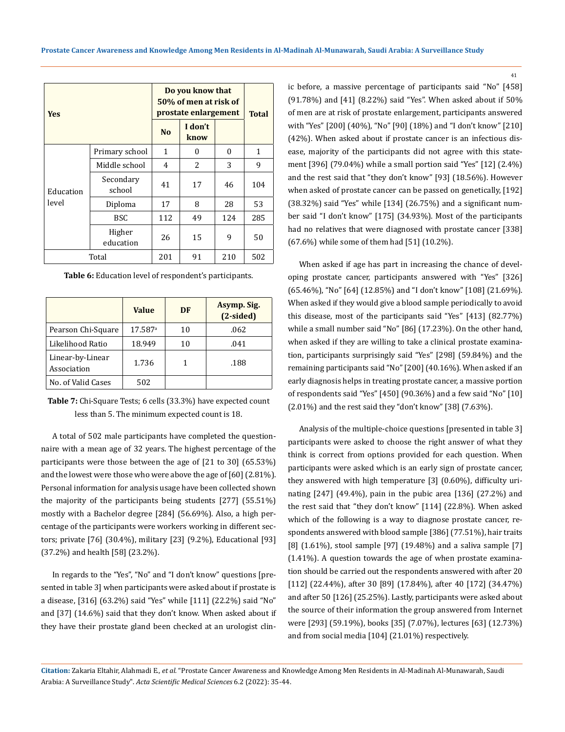| Yes       |                     | Do you know that<br>50% of men at risk of<br>prostate enlargement |                 |          | <b>Total</b> |
|-----------|---------------------|-------------------------------------------------------------------|-----------------|----------|--------------|
|           |                     | N <sub>0</sub>                                                    | I don't<br>know |          |              |
|           | Primary school      | $\mathbf{1}$                                                      | 0               | $\theta$ | 1            |
| Education | Middle school       | 4                                                                 | 2               | 3        | 9            |
|           | Secondary<br>school | 41                                                                | 17              | 46       | 104          |
| level     | Diploma             | 17                                                                | 8               | 28       | 53           |
|           | <b>BSC</b>          | 112                                                               | 49              | 124      | 285          |
|           | Higher<br>education | 26                                                                | 15              | 9        | 50           |
|           | Total               | 201                                                               | 91              | 210      | 502          |

**Table 6:** Education level of respondent's participants.

|                                 | <b>Value</b> | DF | Asymp. Sig.<br>$(2-sided)$ |
|---------------------------------|--------------|----|----------------------------|
| Pearson Chi-Square              | 17.587a      | 10 | .062                       |
| Likelihood Ratio                | 18.949       | 10 | .041                       |
| Linear-by-Linear<br>Association | 1.736        |    | .188                       |
| No. of Valid Cases              | 502          |    |                            |

**Table 7:** Chi-Square Tests; 6 cells (33.3%) have expected count less than 5. The minimum expected count is 18.

A total of 502 male participants have completed the questionnaire with a mean age of 32 years. The highest percentage of the participants were those between the age of [21 to 30] (65.53%) and the lowest were those who were above the age of [60] (2.81%). Personal information for analysis usage have been collected shown the majority of the participants being students [277] (55.51%) mostly with a Bachelor degree [284] (56.69%). Also, a high percentage of the participants were workers working in different sectors; private [76] (30.4%), military [23] (9.2%), Educational [93] (37.2%) and health [58] (23.2%).

In regards to the "Yes", "No" and "I don't know" questions [presented in table 3] when participants were asked about if prostate is a disease, [316] (63.2%) said "Yes" while [111] (22.2%) said "No" and [37] (14.6%) said that they don't know. When asked about if they have their prostate gland been checked at an urologist clinic before, a massive percentage of participants said "No" [458] (91.78%) and [41] (8.22%) said "Yes". When asked about if 50% of men are at risk of prostate enlargement, participants answered with "Yes" [200] (40%), "No" [90] (18%) and "I don't know" [210] (42%). When asked about if prostate cancer is an infectious disease, majority of the participants did not agree with this statement [396] (79.04%) while a small portion said "Yes" [12] (2.4%) and the rest said that "they don't know" [93] (18.56%). However when asked of prostate cancer can be passed on genetically, [192] (38.32%) said "Yes" while [134] (26.75%) and a significant number said "I don't know" [175] (34.93%). Most of the participants had no relatives that were diagnosed with prostate cancer [338] (67.6%) while some of them had [51] (10.2%).

When asked if age has part in increasing the chance of developing prostate cancer, participants answered with "Yes" [326] (65.46%), "No" [64] (12.85%) and "I don't know" [108] (21.69%). When asked if they would give a blood sample periodically to avoid this disease, most of the participants said "Yes" [413] (82.77%) while a small number said "No" [86] (17.23%). On the other hand, when asked if they are willing to take a clinical prostate examination, participants surprisingly said "Yes" [298] (59.84%) and the remaining participants said "No" [200] (40.16%). When asked if an early diagnosis helps in treating prostate cancer, a massive portion of respondents said "Yes" [450] (90.36%) and a few said "No" [10] (2.01%) and the rest said they "don't know" [38] (7.63%).

Analysis of the multiple-choice questions [presented in table 3] participants were asked to choose the right answer of what they think is correct from options provided for each question. When participants were asked which is an early sign of prostate cancer, they answered with high temperature [3] (0.60%), difficulty urinating [247] (49.4%), pain in the pubic area [136] (27.2%) and the rest said that "they don't know" [114] (22.8%). When asked which of the following is a way to diagnose prostate cancer, respondents answered with blood sample [386] (77.51%), hair traits [8] (1.61%), stool sample [97] (19.48%) and a saliva sample [7] (1.41%). A question towards the age of when prostate examination should be carried out the respondents answered with after 20 [112] (22.44%), after 30 [89] (17.84%), after 40 [172] (34.47%) and after 50 [126] (25.25%). Lastly, participants were asked about the source of their information the group answered from Internet were [293] (59.19%), books [35] (7.07%), lectures [63] (12.73%) and from social media [104] (21.01%) respectively.

**Citation:** Zakaria Eltahir, Alahmadi E*., et al.* "Prostate Cancer Awareness and Knowledge Among Men Residents in Al-Madinah Al-Munawarah, Saudi Arabia: A Surveillance Study". *Acta Scientific Medical Sciences* 6.2 (2022): 35-44.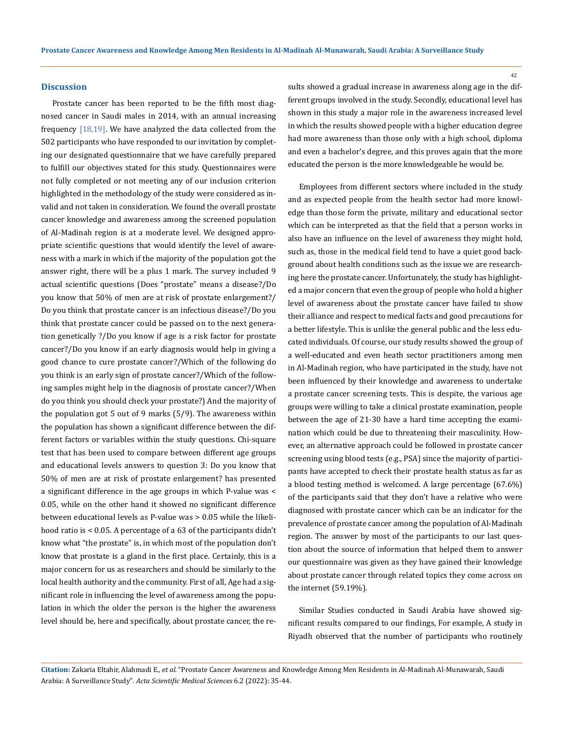#### **Discussion**

Prostate cancer has been reported to be the fifth most diagnosed cancer in Saudi males in 2014, with an annual increasing frequency  $[18,19]$ . We have analyzed the data collected from the 502 participants who have responded to our invitation by completing our designated questionnaire that we have carefully prepared to fulfill our objectives stated for this study. Questionnaires were not fully completed or not meeting any of our inclusion criterion highlighted in the methodology of the study were considered as invalid and not taken in consideration. We found the overall prostate cancer knowledge and awareness among the screened population of Al-Madinah region is at a moderate level. We designed appropriate scientific questions that would identify the level of awareness with a mark in which if the majority of the population got the answer right, there will be a plus 1 mark. The survey included 9 actual scientific questions (Does "prostate" means a disease?/Do you know that 50% of men are at risk of prostate enlargement?/ Do you think that prostate cancer is an infectious disease?/Do you think that prostate cancer could be passed on to the next generation genetically ?/Do you know if age is a risk factor for prostate cancer?/Do you know if an early diagnosis would help in giving a good chance to cure prostate cancer?/Which of the following do you think is an early sign of prostate cancer?/Which of the following samples might help in the diagnosis of prostate cancer?/When do you think you should check your prostate?) And the majority of the population got 5 out of 9 marks (5/9). The awareness within the population has shown a significant difference between the different factors or variables within the study questions. Chi-square test that has been used to compare between different age groups and educational levels answers to question 3: Do you know that 50% of men are at risk of prostate enlargement? has presented a significant difference in the age groups in which P-value was < 0.05, while on the other hand it showed no significant difference between educational levels as P-value was > 0.05 while the likelihood ratio is < 0.05. A percentage of a 63 of the participants didn't know what "the prostate" is, in which most of the population don't know that prostate is a gland in the first place. Certainly, this is a major concern for us as researchers and should be similarly to the local health authority and the community. First of all, Age had a significant role in influencing the level of awareness among the population in which the older the person is the higher the awareness level should be, here and specifically, about prostate cancer, the results showed a gradual increase in awareness along age in the different groups involved in the study. Secondly, educational level has shown in this study a major role in the awareness increased level in which the results showed people with a higher education degree had more awareness than those only with a high school, diploma and even a bachelor's degree, and this proves again that the more educated the person is the more knowledgeable he would be.

Employees from different sectors where included in the study and as expected people from the health sector had more knowledge than those form the private, military and educational sector which can be interpreted as that the field that a person works in also have an influence on the level of awareness they might hold, such as, those in the medical field tend to have a quiet good background about health conditions such as the issue we are researching here the prostate cancer. Unfortunately, the study has highlighted a major concern that even the group of people who hold a higher level of awareness about the prostate cancer have failed to show their alliance and respect to medical facts and good precautions for a better lifestyle. This is unlike the general public and the less educated individuals. Of course, our study results showed the group of a well-educated and even heath sector practitioners among men in Al-Madinah region, who have participated in the study, have not been influenced by their knowledge and awareness to undertake a prostate cancer screening tests. This is despite, the various age groups were willing to take a clinical prostate examination, people between the age of 21-30 have a hard time accepting the examination which could be due to threatening their masculinity. However, an alternative approach could be followed in prostate cancer screening using blood tests (e.g., PSA) since the majority of participants have accepted to check their prostate health status as far as a blood testing method is welcomed. A large percentage (67.6%) of the participants said that they don't have a relative who were diagnosed with prostate cancer which can be an indicator for the prevalence of prostate cancer among the population of Al-Madinah region. The answer by most of the participants to our last question about the source of information that helped them to answer our questionnaire was given as they have gained their knowledge about prostate cancer through related topics they come across on the internet (59.19%).

Similar Studies conducted in Saudi Arabia have showed significant results compared to our findings, For example, A study in Riyadh observed that the number of participants who routinely

**Citation:** Zakaria Eltahir, Alahmadi E*., et al.* "Prostate Cancer Awareness and Knowledge Among Men Residents in Al-Madinah Al-Munawarah, Saudi Arabia: A Surveillance Study". *Acta Scientific Medical Sciences* 6.2 (2022): 35-44.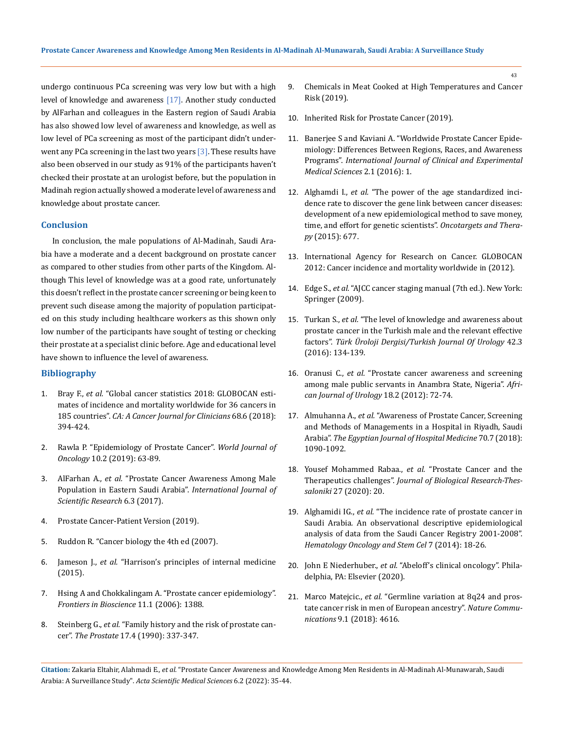undergo continuous PCa screening was very low but with a high level of knowledge and awareness [17]. Another study conducted by AlFarhan and colleagues in the Eastern region of Saudi Arabia has also showed low level of awareness and knowledge, as well as low level of PCa screening as most of the participant didn't underwent any PCa screening in the last two years  $[3]$ . These results have also been observed in our study as 91% of the participants haven't checked their prostate at an urologist before, but the population in Madinah region actually showed a moderate level of awareness and knowledge about prostate cancer.

## **Conclusion**

In conclusion, the male populations of Al-Madinah, Saudi Arabia have a moderate and a decent background on prostate cancer as compared to other studies from other parts of the Kingdom. Although This level of knowledge was at a good rate, unfortunately this doesn't reflect in the prostate cancer screening or being keen to prevent such disease among the majority of population participated on this study including healthcare workers as this shown only low number of the participants have sought of testing or checking their prostate at a specialist clinic before. Age and educational level have shown to influence the level of awareness.

### **Bibliography**

- 1. Bray F., *et al.* ["Global cancer statistics 2018: GLOBOCAN esti](https://pubmed.ncbi.nlm.nih.gov/30207593/)[mates of incidence and mortality worldwide for 36 cancers in](https://pubmed.ncbi.nlm.nih.gov/30207593/)  185 countries". *[CA: A Cancer Journal for Clinicians](https://pubmed.ncbi.nlm.nih.gov/30207593/)* 68.6 (2018): [394-424.](https://pubmed.ncbi.nlm.nih.gov/30207593/)
- 2. [Rawla P. "Epidemiology of Prostate Cancer".](https://pubmed.ncbi.nlm.nih.gov/31068988/) *World Journal of Oncology* [10.2 \(2019\): 63-89.](https://pubmed.ncbi.nlm.nih.gov/31068988/)
- 3. AlFarhan A., *et al.* ["Prostate Cancer Awareness Among Male](https://www.semanticscholar.org/paper/Prostate-Cancer-Awareness-Among-Male-population-in-Alfarhan-Albarrak/422ce756d9914f62f20a0e175f8dd6bce4430967)  [Population in Eastern Saudi Arabia".](https://www.semanticscholar.org/paper/Prostate-Cancer-Awareness-Among-Male-population-in-Alfarhan-Albarrak/422ce756d9914f62f20a0e175f8dd6bce4430967) *International Journal of [Scientific Research](https://www.semanticscholar.org/paper/Prostate-Cancer-Awareness-Among-Male-population-in-Alfarhan-Albarrak/422ce756d9914f62f20a0e175f8dd6bce4430967)* 6.3 (2017).
- 4. [Prostate Cancer-Patient Version \(2019\).](https://www.cancer.gov/types/prostate)
- 5. Ruddon R. "Cancer biology the 4th ed (2007).
- 6. Jameson J., *et al.* ["Harrison's principles of internal medicine](https://accessmedicine.mhmedical.com/book.aspx?bookID=2129)  [\(2015\).](https://accessmedicine.mhmedical.com/book.aspx?bookID=2129)
- 7. [Hsing A and Chokkalingam A. "Prostate cancer epidemiology".](https://pubmed.ncbi.nlm.nih.gov/16368524/)  *[Frontiers in Bioscience](https://pubmed.ncbi.nlm.nih.gov/16368524/)* 11.1 (2006): 1388.
- 8. Steinberg G., *et al.* ["Family history and the risk of prostate can](https://pubmed.ncbi.nlm.nih.gov/2251225/)cer". *The Prostate* [17.4 \(1990\): 337-347.](https://pubmed.ncbi.nlm.nih.gov/2251225/)
- 9. [Chemicals in Meat Cooked at High Temperatures and Cancer](https://www.cancer.gov/about-cancer/causes-prevention/risk/diet/cooked-meats-fact-sheet)  [Risk \(2019\).](https://www.cancer.gov/about-cancer/causes-prevention/risk/diet/cooked-meats-fact-sheet)
- 10. Inherited Risk for Prostate Cancer (2019).
- 11. [Banerjee S and Kaviani A. "Worldwide Prostate Cancer Epide](https://www.sciencepublishinggroup.com/journal/paperinfo?journalid=335&doi=10.11648/j.ijcems.20160201.11)[miology: Differences Between Regions, Races, and Awareness](https://www.sciencepublishinggroup.com/journal/paperinfo?journalid=335&doi=10.11648/j.ijcems.20160201.11)  Programs". *[International Journal of Clinical and Experimental](https://www.sciencepublishinggroup.com/journal/paperinfo?journalid=335&doi=10.11648/j.ijcems.20160201.11) [Medical Sciences](https://www.sciencepublishinggroup.com/journal/paperinfo?journalid=335&doi=10.11648/j.ijcems.20160201.11)* 2.1 (2016): 1.
- 12. Alghamdi I., *et al.* ["The power of the age standardized inci](https://www.dovepress.com/the-power-of-the-age-standardized-incidence-rate-to-discover-the-gene--peer-reviewed-fulltext-article-OTT)[dence rate to discover the gene link between cancer diseases:](https://www.dovepress.com/the-power-of-the-age-standardized-incidence-rate-to-discover-the-gene--peer-reviewed-fulltext-article-OTT)  [development of a new epidemiological method to save money,](https://www.dovepress.com/the-power-of-the-age-standardized-incidence-rate-to-discover-the-gene--peer-reviewed-fulltext-article-OTT)  [time, and effort for genetic scientists".](https://www.dovepress.com/the-power-of-the-age-standardized-incidence-rate-to-discover-the-gene--peer-reviewed-fulltext-article-OTT) *Oncotargets and Therapy* [\(2015\): 677.](https://www.dovepress.com/the-power-of-the-age-standardized-incidence-rate-to-discover-the-gene--peer-reviewed-fulltext-article-OTT)
- 13. [International Agency for Research on Cancer. GLOBOCAN](https://gco.iarc.fr/today/fact-sheets-cancers)  [2012: Cancer incidence and mortality worldwide in \(2012\).](https://gco.iarc.fr/today/fact-sheets-cancers)
- 14. Edge S., *et al.* ["AJCC cancer staging manual \(7th ed.\). New York:](https://pubmed.ncbi.nlm.nih.gov/20180029/)  [Springer \(2009\).](https://pubmed.ncbi.nlm.nih.gov/20180029/)
- 15. Turkan S., *et al.* ["The level of knowledge and awareness about](https://pubmed.ncbi.nlm.nih.gov/27635286/)  [prostate cancer in the Turkish male and the relevant effective](https://pubmed.ncbi.nlm.nih.gov/27635286/)  factors". *[Türk Üroloji Dergisi/Turkish Journal Of Urology](https://pubmed.ncbi.nlm.nih.gov/27635286/)* 42.3 [\(2016\): 134-139.](https://pubmed.ncbi.nlm.nih.gov/27635286/)
- 16. Oranusi C., *et al.* ["Prostate cancer awareness and screening](https://www.sciencedirect.com/science/article/pii/S1110570412000367)  [among male public servants in Anambra State, Nigeria".](https://www.sciencedirect.com/science/article/pii/S1110570412000367) *Afri[can Journal of Urology](https://www.sciencedirect.com/science/article/pii/S1110570412000367)* 18.2 (2012): 72-74.
- 17. Almuhanna A., *et al.* ["Awareness of Prostate Cancer, Screening](https://ejhm.journals.ekb.eg/article_10665.html)  [and Methods of Managements in a Hospital in Riyadh, Saudi](https://ejhm.journals.ekb.eg/article_10665.html)  Arabia". *[The Egyptian Journal of Hospital Medicine](https://ejhm.journals.ekb.eg/article_10665.html)* 70.7 (2018): [1090-1092.](https://ejhm.journals.ekb.eg/article_10665.html)
- 18. [Yousef Mohammed Rabaa.,](https://pubmed.ncbi.nlm.nih.gov/33303035/) *et al.* "Prostate Cancer and the Therapeutics challenges". *[Journal of Biological Research-Thes](https://pubmed.ncbi.nlm.nih.gov/33303035/)saloniki* [27 \(2020\): 20.](https://pubmed.ncbi.nlm.nih.gov/33303035/)
- 19. Alghamidi IG., *et al.* ["The incidence rate of prostate cancer in](https://www.sciencedirect.com/science/article/pii/S1658387613000769)  Saudi Arabia*.* [An observational descriptive epidemiological](https://www.sciencedirect.com/science/article/pii/S1658387613000769)  [analysis of data from the Saudi Cancer Registry 2001-2008".](https://www.sciencedirect.com/science/article/pii/S1658387613000769)  *[Hematology Oncology and Stem Cel](https://www.sciencedirect.com/science/article/pii/S1658387613000769)* 7 (2014): 18-26.
- 20. John E Niederhuber., *et al.* ["Abeloff's clinical oncology". Phila](https://www.sciencedirect.com/book/9780323476744/abeloffs-clinical-oncology)[delphia, PA: Elsevier \(2020\).](https://www.sciencedirect.com/book/9780323476744/abeloffs-clinical-oncology)
- 21. Marco Matejcic., *et al.* ["Germline variation at 8q24 and pros](https://www.nature.com/articles/s41467-018-06863-1)[tate cancer risk in men of European ancestry".](https://www.nature.com/articles/s41467-018-06863-1) *Nature Communications* [9.1 \(2018\): 4616.](https://www.nature.com/articles/s41467-018-06863-1)

**Citation:** Zakaria Eltahir, Alahmadi E*., et al.* "Prostate Cancer Awareness and Knowledge Among Men Residents in Al-Madinah Al-Munawarah, Saudi Arabia: A Surveillance Study". *Acta Scientific Medical Sciences* 6.2 (2022): 35-44.